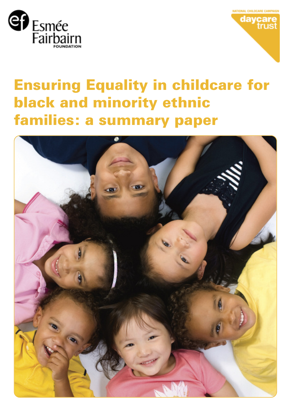



# Ensuring Equality in childcare for black and minority ethnic families: a summary paper

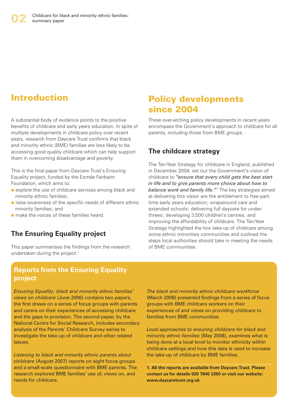# Introduction

A substantial body of evidence points to the positive benefits of childcare and early years education. In spite of multiple developments in childcare policy over recent years, research from Daycare Trust confirms that black and minority ethnic (BME) families are less likely to be accessing good quality childcare which can help support them in overcoming disadvantage and poverty.

This is the final paper from Daycare Trust's Ensuring Equality project, funded by the Esmée Fairbairn Foundation, which aims to:

- **●** explore the use of childcare services among black and minority ethnic families;
- **●** raise awareness of the specific needs of different ethnic minority families; and
- **●** make the voices of these families heard.

#### **The Ensuring Equality project**

This paper summarises the findings from the research undertaken during the project. 1

## Policy developments since 2004

Three over-arching policy developments in recent years encompass the Government's approach to childcare for all parents, including those from BME groups.

#### **The childcare strategy**

The Ten-Year Strategy for childcare in England, published in December 2004, set out the Government's vision of childcare to *"ensure that every child gets the best start in life and to give parents more choice about how to balance work and family life."*<sup>1</sup> The key strategies aimed at delivering this vision are the entitlement to free parttime early years education; wraparound care and extended schools; delivering full daycare for underthrees; developing 3,500 children's centres; and improving the affordability of childcare. The Ten-Year Strategy highlighted the low take-up of childcare among some ethnic minorities communities and outlined the steps local authorities should take in meeting the needs of BME communities.

#### **Reports from the Ensuring Equality project**

*Ensuring Equality: black and minority ethnic families' views on childcare* (June 2006) contains two papers, the first draws on a series of focus groups with parents and carers on their experiences of accessing childcare and the gaps in provision. The second paper, by the National Centre for Social Research, includes secondary analysis of the Parents' Childcare Survey series to investigate the take-up of childcare and other related issues.

*Listening to black and minority ethnic parents about childcare* (August 2007) reports on eight focus groups and a small-scale questionnaire with BME parents. The research explored BME families' use of, views on, and needs for childcare.

*The black and minority ethnic childcare workforce* (March 2008) presented findings from a series of focus groups with BME childcare workers on their experiences of and views on providing childcare to families from BME communities.

*Local approaches to ensuring childcare for black and minority ethnic families* (May 2008), examines what is being done at a local level to monitor ethnicity within childcare settings and how this data is used to increase the take-up of childcare by BME families.

**1. All the reports are available from Daycare Trust. Please contact us for details 020 7840 3350 or visit our website: www.daycaretrust.org.uk**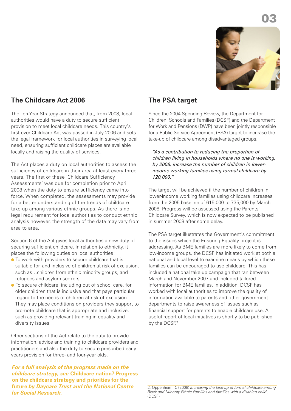

#### **The Childcare Act 2006**

The Ten-Year Strategy announced that, from 2008, local authorities would have a duty to secure sufficient provision to meet local childcare needs. This country's first ever Childcare Act was passed in July 2006 and sets the legal framework for local authorities in surveying local need, ensuring sufficient childcare places are available locally and raising the quality of services.

The Act places a duty on local authorities to assess the sufficiency of childcare in their area at least every three years. The first of these 'Childcare Sufficiency Assessments' was due for completion prior to April 2008 when the duty to ensure sufficiency came into force. When completed, the assessments may provide for a better understanding of the trends of childcare take-up among various ethnic groups. As there is no legal requirement for local authorities to conduct ethnic analysis however, the strength of the data may vary from area to area.

Section 6 of the Act gives local authorities a new duty of securing sufficient childcare. In relation to ethnicity, it places the following duties on local authorities:

- **●** To work with providers to secure childcare that is suitable for, and inclusive of children at risk of exclusion. such as…children from ethnic minority groups, and refugees and asylum seekers.
- **●** To secure childcare, including out of school care, for older children that is inclusive and that pays particular regard to the needs of children at risk of exclusion. They may place conditions on providers they support to promote childcare that is appropriate and inclusive, such as providing relevant training in equality and diversity issues.

Other sections of the Act relate to the duty to provide information, advice and training to childcare providers and practitioners and also the duty to secure prescribed early years provision for three- and four-year olds.

*For a full analysis of the progress made on the childcare strategy, see* **Childcare nation? Progress on the childcare strategy and priorities for the future** *by Daycare Trust and the National Centre for Social Research.*

#### **The PSA target**

Since the 2004 Spending Review, the Department for Children, Schools and Families (DCSF) and the Department for Work and Pensions (DWP) have been jointly responsible for a Public Service Agreement (PSA) target to increase the take-up of childcare among disadvantaged groups.

*"As a contribution to reducing the proportion of children living in households where no one is working, by 2008, increase the number of children in lowerincome working families using formal childcare by 120,000."*

The target will be achieved if the number of children in lower-income working families using childcare increases from the 2005 baseline of 615,000 to 735,000 by March 2008. Progress will be assessed using the Parents' Childcare Survey, which is now expected to be published in summer 2008 after some delay.

The PSA target illustrates the Government's commitment to the issues which the Ensuring Equality project is addressing. As BME families are more likely to come from low-income groups, the DCSF has initiated work at both a national and local level to examine means by which these families can be encouraged to use childcare. This has included a national take-up campaign that ran between March and November 2007 and included tailored information for BME families. In addition, DCSF has worked with local authorities to improve the quality of information available to parents and other government departments to raise awareness of issues such as financial support for parents to enable childcare use. A useful report of local initiatives is shortly to be published by the DCSF.<sup>2</sup>

<sup>2.</sup> Oppenheim, C (2008) *Increasing the take-up of formal childcare among Black and Minority Ethnic Families and families with a disabled child*, (DCSF)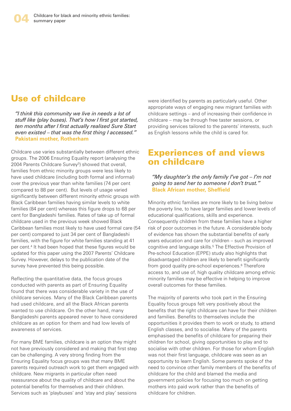## Use of childcare

*"I think this community we live in needs a lot of stuff like (play buses). That's how I first got started, ten months after I first actually realised Sure Start even existed – that was the first thing I accessed."* **Pakistani mother, Rotherham**

Childcare use varies substantially between different ethnic groups. The 2006 Ensuring Equality report (analysing the 2004 Parents Childcare Survey<sup>3</sup>) showed that overall, families from ethnic minority groups were less likely to have used childcare (including both formal and informal) over the previous year than white families (74 per cent compared to 88 per cent). But levels of usage varied significantly between different minority ethnic groups with Black Caribbean families having similar levels to white families (84 per cent) whereas this figure drops to 68 per cent for Bangladeshi families. Rates of take up of formal childcare used in the previous week showed Black Caribbean families most likely to have used formal care (54 per cent) compared to just 34 per cent of Bangladeshi families, with the figure for white families standing at 41 per cent. <sup>4</sup> It had been hoped that these figures would be updated for this paper using the 2007 Parents' Childcare Survey. However, delays to the publication date of the survey have prevented this being possible.

Reflecting the quantitative data, the focus groups conducted with parents as part of Ensuring Equality found that there was considerable variety in the use of childcare services. Many of the Black Caribbean parents had used childcare, and all the Black African parents wanted to use childcare. On the other hand, many Bangladeshi parents appeared never to have considered childcare as an option for them and had low levels of awareness of services.

For many BME families, childcare is an option they might not have previously considered and making that first step can be challenging. A very strong finding from the Ensuring Equality focus groups was that many BME parents required outreach work to get them engaged with childcare. New migrants in particular often need reassurance about the quality of childcare and about the potential benefits for themselves and their children. Services such as 'playbuses' and 'stay and play' sessions

were identified by parents as particularly useful. Other appropriate ways of engaging new migrant families with childcare settings – and of increasing their confidence in childcare – may be through free taster sessions, or providing services tailored to the parents' interests, such as English lessons while the child is cared for.

### Experiences of and views on childcare

*"My daughter's the only family I've got – I'm not going to send her to someone I don't trust."* **Black African mother, Sheffield**

Minority ethnic families are more likely to be living below the poverty line, to have larger families and lower levels of educational qualifications, skills and experience. Consequently children from these families have a higher risk of poor outcomes in the future. A considerable body of evidence has shown the substantial benefits of early years education and care for children – such as improved cognitive and language skills. <sup>5</sup> The Effective Provision of Pre-school Education (EPPE) study also highlights that disadvantaged children are likely to benefit significantly from good quality pre-school experiences. <sup>6</sup> Therefore access to, and use of, high quality childcare among ethnic minority families may be effective in helping to improve overall outcomes for these families.

The majority of parents who took part in the Ensuring Equality focus groups felt very positively about the benefits that the right childcare can have for their children and families. Benefits to themselves include the opportunities it provides them to work or study, to attend English classes, and to socialise. Many of the parents emphasised the benefits of childcare for preparing their children for school, giving opportunities to play and to socialise with other children. For those for whom English was not their first language, childcare was seen as an opportunity to learn English. Some parents spoke of the need to convince other family members of the benefits of childcare for the child and blamed the media and government policies for focusing too much on getting mothers into paid work rather than the benefits of childcare for children.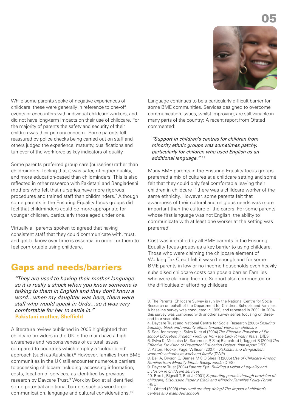

While some parents spoke of negative experiences of childcare, these were generally in reference to one-off events or encounters with individual childcare workers, and did not have long-term impacts on their use of childcare. For the majority of parents the safety and security of their children was their primary concern. Some parents felt reassured by police checks being carried out on staff and others judged the experience, maturity, qualifications and turnover of the workforce as key indicators of quality.

Some parents preferred group care (nurseries) rather than childminders, feeling that it was safer, of higher quality, and more education-based than childminders. This is also reflected in other research with Pakistani and Bangladeshi mothers who felt that nurseries have more rigorous procedures and trained staff than childminders. <sup>7</sup> Although some parents in the Ensuring Equality focus groups did feel that childminders could be more appropriate for younger children, particularly those aged under one.

Virtually all parents spoken to agreed that having consistent staff that they could communicate with, trust, and get to know over time is essential in order for them to feel comfortable using childcare.

#### Gaps and needs/barriers

*"They are used to having their mother language so it is really a shock when you know someone is talking to them in English and they don't know a word…when my daughter was here, there were staff who would speak in Urdu…so it was very comfortable for her to settle in."* **Pakistani mother, Sheffield**

A literature review published in 2005 highlighted that childcare providers in the UK in the main have a high awareness and responsiveness of cultural issues compared to countries which employ a 'colour blind' approach (such as Australia). <sup>8</sup> However, families from BME communities in the UK still encounter numerous barriers to accessing childcare including: accessing information, costs, location of services, as identified by previous research by Daycare Trust. <sup>9</sup> Work by Box et al identified some potential additional barriers such as workforce, communication, language and cultural considerations. 10

Language continues to be a particularly difficult barrier for some BME communities. Services designed to overcome communication issues, whilst improving, are still variable in many parts of the country: A recent report from Ofsted commented:

*"Support in children's centres for children from minority ethnic groups was sometimes patchy, particularly for children who used English as an additional language."* <sup>11</sup>

Many BME parents in the Ensuring Equality focus groups preferred a mix of cultures at a childcare setting and some felt that they could only feel comfortable leaving their children in childcare if there was a childcare worker of the same ethnicity. However, some parents felt that awareness of their cultural and religious needs was more important than the culture of the carers. For some parents whose first language was not English, the ability to communicate with at least one worker at the setting was preferred.

Cost was identified by all BME parents in the Ensuring Equality focus groups as a key barrier to using childcare. Those who were claiming the childcare element of Working Tax Credit felt it wasn't enough and for some BME parents in low or no income households even heavily subsidised childcare costs can pose a barrier. Families who were claiming Income Support also commented on the difficulties of affording childcare.

<sup>3.</sup> The Parents' Childcare Survey is run by the National Centre for Social Research on behalf of the Department for Children, Schools and Families. A baseline survey was conducted in 1999, and repeated in 2001. In 2004 this survey was combined with another survey series focusing on threeand four-year olds.

<sup>4.</sup> Daycare Trust and National Centre for Social Research (2006) *Ensuring Equality: black and minority ethnic families' views on childcare* 5. See, for example, Sylva K, et al (2004) *The Effective Provision of Preschool Education Project: Findings from the Early Primary Years*, DfES 6. Sylva K, Melhuish M, Sammons P, Siraj-Blatchford I, Taggart B (2004) *The Effective Provision of Pre-school Education Project: final report* DfES 7. Aston, Hooker, Page, Willison (2007) – *Pakistani and Bangladeshi women's attitudes to work and family* (DWP)

<sup>8.</sup> Bell A, Bryson C, Barnes M & O'Shea R (2005) *Use of Childcare Among Families from Minority Ethnic Backgrounds* (DfES)

<sup>9.</sup> Daycare Trust (2004) *Parents Eye: Building a vision of equality and inclusion in childcare services.*

<sup>10.</sup> Box L, Bignall T, Butt J (2001) *Supporting parents through provision of childcare, Discussion Paper 2 Black and Minority Famililes Policy Forum* (REU)

<sup>11.</sup> Ofsted (2008) *How well are they doing? The impact of children's centres and extended schools*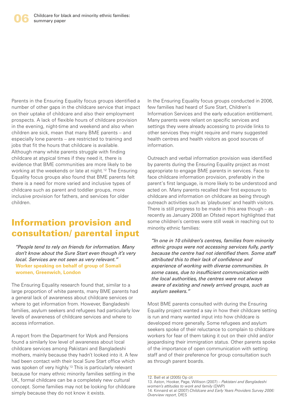Parents in the Ensuring Equality focus groups identified a number of other gaps in the childcare service that impact on their uptake of childcare and also their employment prospects. A lack of flexible hours of childcare provision in the evening, night-time and weekend and also when children are sick, mean that many BME parents – and especially lone parents – are restricted to training and jobs that fit the hours that childcare is available. Although many white parents struggle with finding childcare at atypical times if they need it, there is evidence that BME communities are more likely to be working at the weekends or late at night. <sup>12</sup> The Ensuring Equality focus groups also found that BME parents felt there is a need for more varied and inclusive types of childcare such as parent and toddler groups, more inclusive provision for fathers, and services for older children.

## Information provision and consultation/ parental input

*"People tend to rely on friends for information. Many don't know about the Sure Start even though it's very local. Services are not seen as very relevant."* **Worker speaking on behalf of group of Somali women, Greenwich, London**

The Ensuring Equality research found that, similar to a large proportion of white parents, many BME parents had a general lack of awareness about childcare services or where to get information from. However, Bangladeshi families, asylum seekers and refugees had particularly low levels of awareness of childcare services and where to access information.

A report from the Department for Work and Pensions found a similarly low level of awareness about local childcare services among Pakistani and Bangladeshi mothers, mainly because they hadn't looked into it. A few had been contact with their local Sure Start office which was spoken of very highly. <sup>13</sup> This is particularly relevant because for many ethnic minority families settling in the UK, formal childcare can be a completely new cultural concept. Some families may not be looking for childcare simply because they do not know it exists.

In the Ensuring Equality focus groups conducted in 2006, few families had heard of Sure Start, Children's Information Services and the early education entitlement. Many parents were reliant on specific services and settings they were already accessing to provide links to other services they might require and many suggested health centres and health visitors as good sources of information.

Outreach and verbal information provision was identified by parents during the Ensuring Equality project as most appropriate to engage BME parents in services. Face to face childcare information provision, preferably in the parent's first language, is more likely to be understood and acted on. Many parents recalled their first exposure to childcare and information on childcare as being through outreach activities such as 'playbuses' and health visitors. There is still progress to be made in this area though – as recently as January 2008 an Ofsted report highlighted that some children's centres were still weak in reaching out to minority ethnic families:

*"In one in 10 children's centres, families from minority ethnic groups were not accessing services fully, partly because the centre had not identified them. Some staff attributed this to their lack of confidence and experience of working with diverse communities. In some cases, due to insufficient communication with the local authorities, the centres were not always aware of existing and newly arrived groups, such as asylum seekers."*

Most BME parents consulted with during the Ensuring Equality project wanted a say in how their childcare setting is run and many wanted input into how childcare is developed more generally. Some refugees and asylum seekers spoke of their reluctance to complain to childcare workers for fear of them taking it out on their child and/or jeopardising their immigration status. Other parents spoke of the importance of open communication with setting staff and of their preference for group consultation such as through parent boards.

12. Bell et al (2005) Op cit 13. Aston, Hooker, Page, Willison (2007) – *Pakistani and Bangladeshi women's attitudes to work and family* (DWP) 14. Kinnaird et al (2007) *Childcare and Early Years Providers Survey 2006: Overview report*, DfES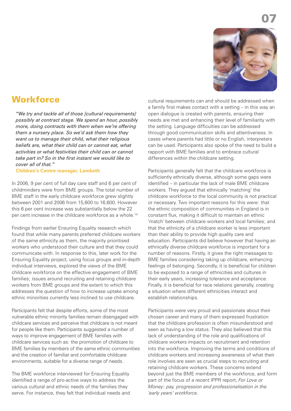

## **Workforce**

*"We try and tackle all of those [cultural requirements] possibly at contract stage. We spend an hour, possibly more, doing contracts with them when we're offering them a nursery place. So we'd ask them how they want us to manage their child, what their religious beliefs are, what their child can or cannot eat, what activities or what festivities their child can or cannot take part in? So in the first instant we would like to cover all of that."*

**Children's Centre manager, Lambeth**

In 2006, 9 per cent of full day care staff and 6 per cent of childminders were from BME groups. The total number of BME staff in the early childcare workforce grew slightly between 2001 and 2006 from 15,600 to 16,600. However this 6 per cent increase was substantially below the 22 per cent increase in the childcare workforce as a whole. 14

Findings from earlier Ensuring Equality research which found that while many parents preferred childcare workers of the same ethnicity as them, the majority prioritised workers who understood their culture and that they could communicate with. In response to this, later work for the Ensuring Equality project, using focus groups and in-depth individual interviews, explored the views of the BME childcare workforce on the effective engagement of BME families; issues around recruiting and retaining childcare workers from BME groups and the extent to which this addresses the question of how to increase uptake among ethnic minorities currently less inclined to use childcare.

Participants felt that despite efforts, some of the most vulnerable ethnic minority families remain disengaged with childcare services and perceive that childcare is not meant for people like them. Participants suggested a number of ways to improve engagement of BME families with childcare services such as: the promotion of childcare to BME families by members of the same ethnic communities and the creation of familiar and comfortable childcare environments, suitable for a diverse range of needs.

The BME workforce interviewed for Ensuring Equality identified a range of pro-active ways to address the various cultural and ethnic needs of the families they serve. For instance, they felt that individual needs and cultural requirements can and should be addressed when a family first makes contact with a setting – in this way an open dialogue is created with parents, ensuring their needs are met and enhancing their level of familiarity with the setting. Language difficulties can be addressed through good communication skills and attentiveness. In cases where parents had little or no English, interpreters can be used. Participants also spoke of the need to build a rapport with BME families and to embrace cultural differences within the childcare setting.

Participants generally felt that the childcare workforce is sufficiently ethnically diverse, although some gaps were identified – in particular the lack of male BME childcare workers. They argued that ethnically 'matching' the childcare workforce to the local community is not practical or necessary. Two important reasons for this were: that the ethnic composition of communities in England is in constant flux, making it difficult to maintain an ethnic 'match' between childcare workers and local families; and that the ethnicity of a childcare worker is less important than their ability to provide high quality care and education. Participants did believe however that having an ethnically diverse childcare workforce is important for a number of reasons. Firstly, it gives the right messages to BME families considering taking up childcare, enhancing feelings of belonging. Secondly, it is beneficial for children to be exposed to a range of ethnicities and cultures in their early years, increasing tolerance and acceptance. Finally, it is beneficial for race relations generally, creating a situation where different ethnicities interact and establish relationships.

Participants were very proud and passionate about their chosen career and many of them expressed frustration that the childcare profession is often misunderstood and seen as having a low status. They also believed that this lack of understanding of the role and qualifications of childcare workers impacts on recruitment and retention into the workforce. Improving the terms and conditions of childcare workers and increasing awareness of what their role involves are seen as crucial steps to recruiting and retaining childcare workers. These concerns extend beyond just the BME members of the workforce, and form part of the focus of a recent IPPR report, *For Love or Money: pay, progression and professionalisation in the 'early years' workforce*.